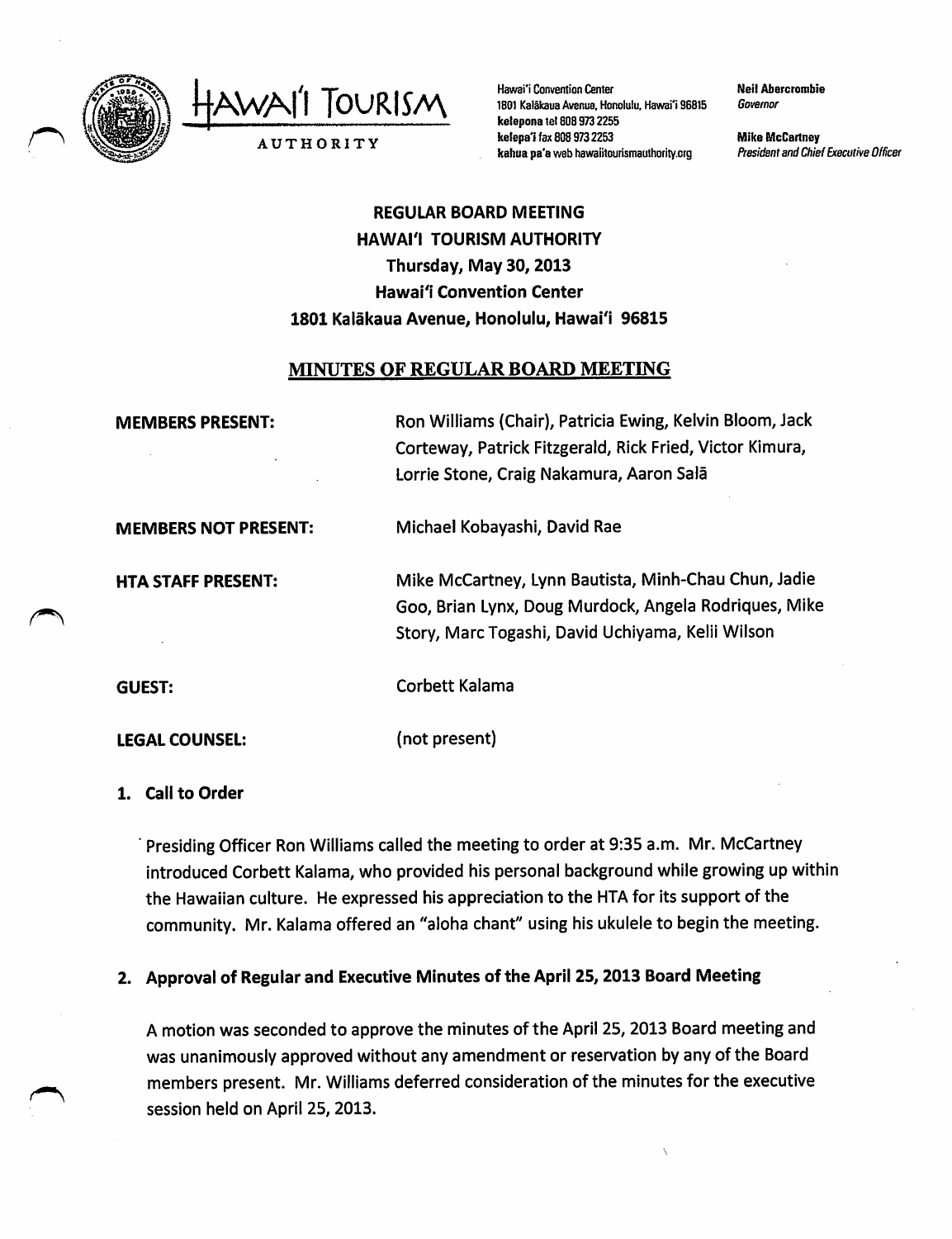

AWAI'I TOURISM AUTHORITY

Hawai'i Convention Center 1801 Kalākaua Avenue, Honolulu, Hawai'i 96815 ketepona tet 8089732255 kelepa'i fax 808 973 2253 kahua pa'a web hawaiitourismauthority.org

Neil Abercrombie Governor

Mike McCartney President and Chief Executive Officer

# REGULAR BOARD MEETING HAWAI'I TOURISM AUTHORITY Thursday, May 30,2013 Hawai'i Convention Center 1801 Kalakaua Avenue, Honolulu, Hawai'i 96815

## MINUTES OF REGULAR BOARD MEETING

| <b>MEMBERS PRESENT:</b>     | Ron Williams (Chair), Patricia Ewing, Kelvin Bloom, Jack<br>Corteway, Patrick Fitzgerald, Rick Fried, Victor Kimura,<br>Lorrie Stone, Craig Nakamura, Aaron Salā   |
|-----------------------------|--------------------------------------------------------------------------------------------------------------------------------------------------------------------|
| <b>MEMBERS NOT PRESENT:</b> | Michael Kobayashi, David Rae                                                                                                                                       |
| <b>HTA STAFF PRESENT:</b>   | Mike McCartney, Lynn Bautista, Minh-Chau Chun, Jadie<br>Goo, Brian Lynx, Doug Murdock, Angela Rodriques, Mike<br>Story, Marc Togashi, David Uchiyama, Kelii Wilson |
| <b>GUEST:</b>               | Corbett Kalama                                                                                                                                                     |
| LEGAL COUNSEL:              | (not present)                                                                                                                                                      |

#### 1. Call to Order

Presiding Officer Ron Williams called the meeting to order at 9:35 a.m. Mr. McCartney introduced Corbett Kalama, who provided his personal background while growing up within the Hawaiian culture. He expressed his appreciation to the HTA for its support of the community. Mr. Kalama offered an "aloha chant" using his ukulele to begin the meeting.

## 2. Approval of Regular and Executive Minutes of the April 25, 2013 Board Meeting

A motion was seconded to approve the minutes of the April 25,2013 Board meeting and was unanimously approved without any amendment or reservation by any of the Board members present. Mr. Williams deferred consideration of the minutes for the executive session held on April 25, 2013.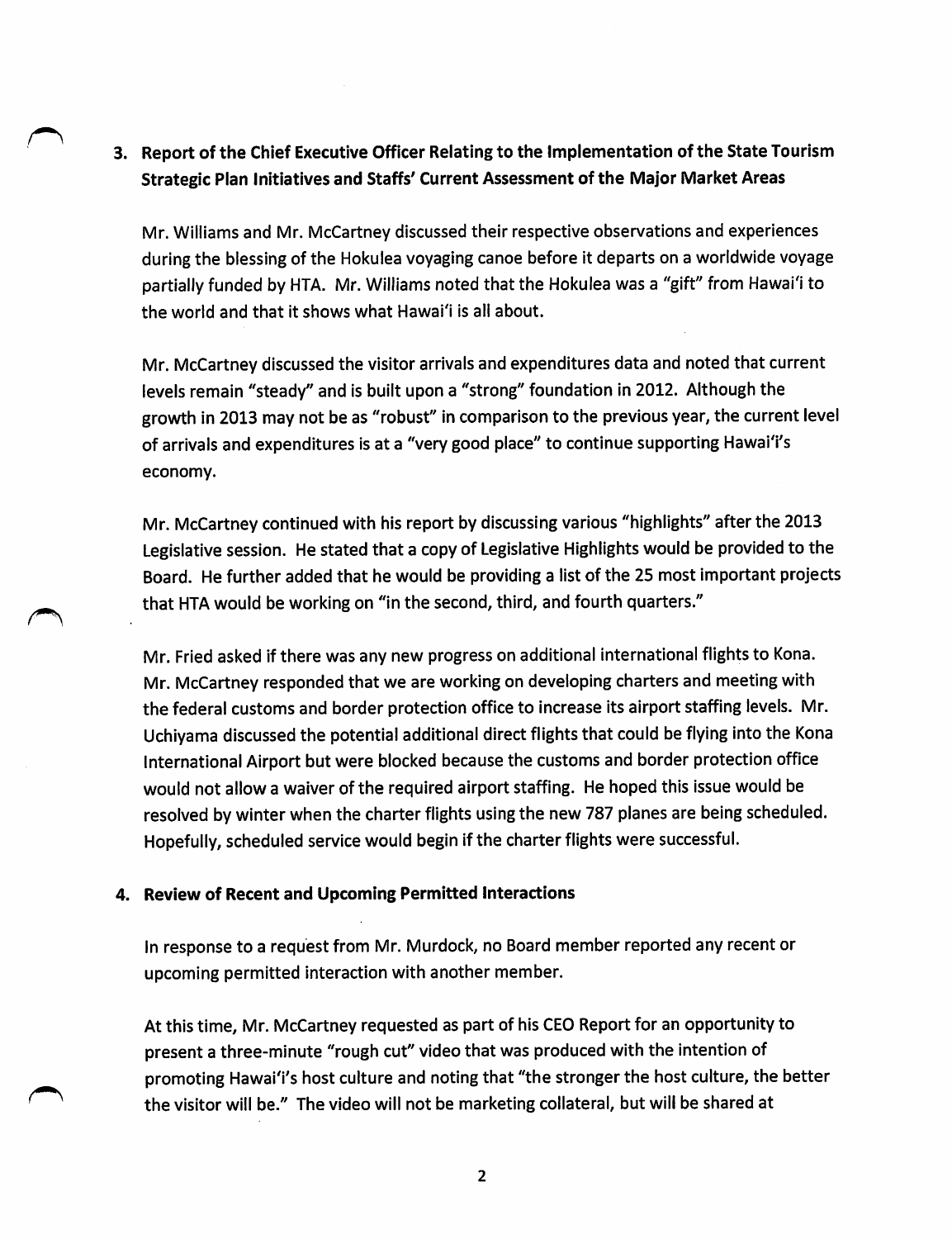## 3. Report of the Chief Executive Officer Relating to the Implementation of the State Tourism Strategic Plan Initiatives and Staffs' Current Assessment of the Major Market Areas

Mr. Williams and Mr. McCartney discussed their respective observations and experiences during the blessing of the Hokulea voyaging canoe before it departs on a worldwide voyage partially funded by HTA. Mr. Williams noted that the Hokulea was a "gift" from Hawai'i to the world and that it shows what Hawai'i is all about.

Mr. McCartney discussed the visitor arrivals and expenditures data and noted that current levels remain ''steady'' and is built upon a "strong" foundation in 2012. Although the growth in 2013 may not be as "robust" in comparison to the previous year, the current level of arrivals and expenditures is at a "very good place" to continue supporting Hawai'i's economy.

Mr. McCartney continued with his report by discussing various "highlights" after the 2013 Legislative session. He stated that a copy of Legislative Highlights would be provided to the Board. He further added that he would be providing a list of the 25 most important projects that HTA would be working on "in the second, third, and fourth quarters."

Mr. Fried asked if there was any new progress on additional international flights to Kona. Mr. McCartney responded that we are working on developing charters and meeting with the federal customs and border protection office to increase its airport staffing levels. Mr. Uchiyama discussed the potential additional direct flights that could be flying into the Kona International Airport but were blocked because the customs and border protection office would not allow a waiver of the required airport staffing. He hoped this issue would be resolved by winter when the charter flights using the new 787 planes are being scheduled. Hopefully, scheduled service would begin if the charter flights were successful.

#### 4. Review of Recent and Upcoming Permitted interactions

In response to a request from Mr. Murdock, no Board member reported any recent or upcoming permitted interaction with another member.

At this time, Mr. McCartney requested as part of his CEO Report for an opportunity to present a three-minute "rough cut" video that was produced with the intention of promoting Hawai'i's host culture and noting that "the stronger the host culture, the better the visitor will be." The video will not be marketing collateral, but will be shared at

 $\overline{2}$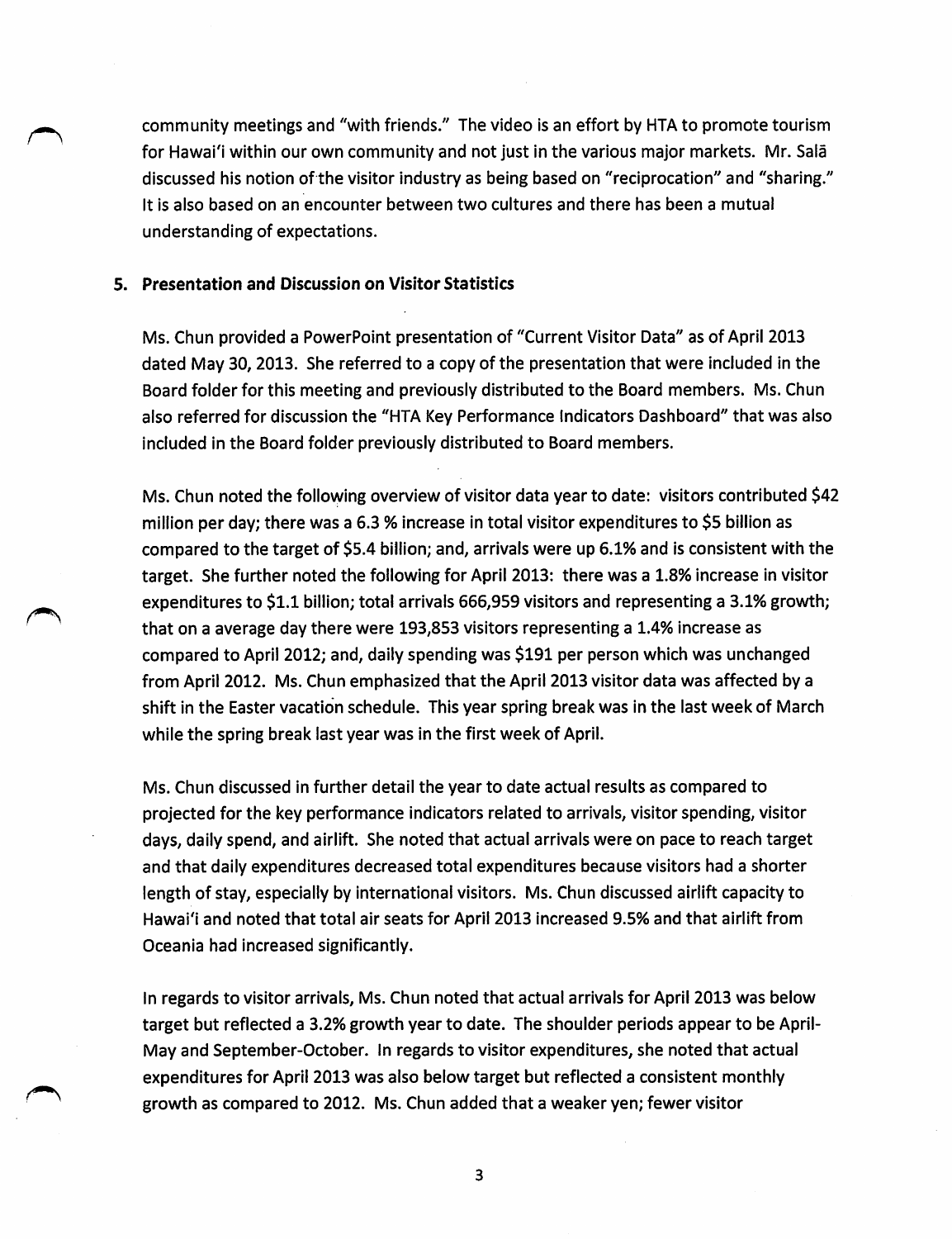community meetings and "with friends." The video is an effort by HTA to promote tourism for Hawai'i within our own community and not just in the various major markets. Mr. Sala discussed his notion of the visitor industry as being based on "reciprocation" and "sharing." It is also based on an encounter between two cultures and there has been a mutual understanding of expectations.

#### 5. Presentation and Discussion on Visitor Statistics

Ms. Chun provided a PowerPoint presentation of "Current Visitor Data" as of April 2013 dated May 30, 2013. She referred to a copy of the presentation that were included in the Board folder for this meeting and previously distributed to the Board members. Ms. Chun also referred for discussion the "HTA Key Performance Indicators Dashboard" that was also included in the Board folder previously distributed to Board members.

Ms. Chun noted the following overview of visitor data year to date: visitors contributed \$42 million per day; there was a 6.3 % increase in total visitor expenditures to \$5 billion as compared to the target of \$5.4 billion; and, arrivals were up 6.1% and is consistent with the target. She further noted the following for April 2013: there was a 1.8% increase in visitor expenditures to \$1.1 billion; total arrivals 666,959 visitors and representing a 3.1% growth; that on a average day there were 193,853 visitors representing a 1.4% increase as compared to April 2012; and, daily spending was \$191 per person which was unchanged from April 2012. Ms. Chun emphasized that the April 2013 visitor data was affected by a shift in the Easter vacation schedule. This year spring break was in the last week of March while the spring break last year was in the first week of April.

Ms. Chun discussed in further detail the year to date actual results as compared to projected for the key performance indicators related to arrivals, visitor spending, visitor days, daily spend, and airlift. She noted that actual arrivals were on pace to reach target and that daily expenditures decreased total expenditures because visitors had a shorter length of stay, especially by international visitors. Ms. Chun discussed airlift capacity to Hawai'i and noted that total air seats for April 2013 increased 9.5% and that airlift from Oceania had increased significantly.

In regards to visitor arrivals, Ms. Chun noted that actual arrivals for April 2013 was below target but reflected a 3.2% growth year to date. The shoulder periods appear to be April-May and September-October. In regards to visitor expenditures, she noted that actual expenditures for April 2013 was also below target but reflected a consistent monthly growth as compared to 2012. Ms. Chun added that a weaker yen; fewer visitor

 $\overline{\mathbf{3}}$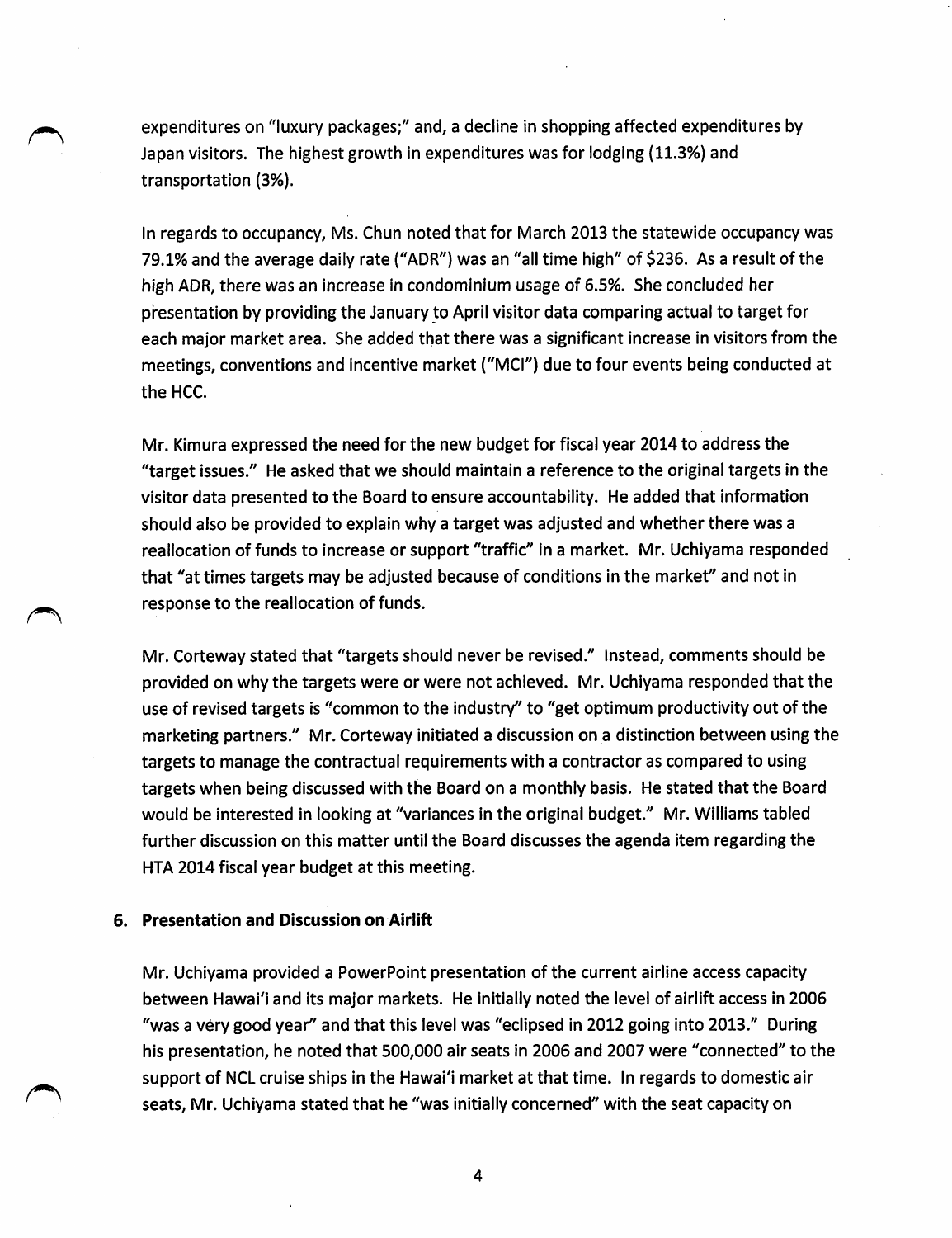expenditures on "luxury packages;" and, a decline in shopping affected expenditures by Japan visitors. The highest growth in expenditures was for lodging (11.3%) and transportation (3%).

In regards to occupancy, Ms. Chun noted that for March 2013 the statewide occupancy was 79.1% and the average daily rate ("ADR") was an "all time high" of \$236. As a result of the high ADR, there was an increase in condominium usage of 6.5%. She concluded her presentation by providing the January to April visitor data comparing actual to target for each major market area. She added that there was a significant increase in visitors from the meetings, conventions and incentive market ("MCl'') due to four events being conducted at the HCC.

Mr. Kimura expressed the need for the new budget for fiscal year 2014 to address the "target issues.'' He asked that we should maintain a reference to the original targets in the visitor data presented to the Board to ensure accountability. He added that information should also be provided to explain why a target was adjusted and whether there was a reallocation of funds to increase or support "traffic" in a market. Mr. Uchiyama responded that "at times targets may be adjusted because of conditions in the market" and not in response to the reallocation of funds.

Mr. Corteway stated that "targets should never be revised." Instead, comments should be provided on why the targets were or were not achieved. Mr. Uchiyama responded that the use of revised targets is "common to the industry" to "get optimum productivity out of the marketing partners." Mr. Corteway initiated a discussion on a distinction between using the targets to manage the contractual requirements with a contractor as compared to using targets when being discussed with the Board on a monthly basis. He stated that the Board would be interested in looking at "variances in the original budget." Mr. Williams tabled further discussion on this matter until the Board discusses the agenda item regarding the HTA 2014 fiscal year budget at this meeting.

#### 6. Presentation and Discussion on Airlift

Mr. Uchiyama provided a PowerPoint presentation of the current airline access capacity between Hawai'i and its major markets. He initially noted the level of airlift access in 2006 "was a very good year" and that this level was "eclipsed in 2012 going into 2013." During his presentation, he noted that 500,000 air seats in 2006 and 2007 were "connected" to the support of NCL cruise ships in the Hawai'i market at that time. In regards to domestic air seats, Mr. Uchiyama stated that he "was initially concerned" with the seat capacity on

4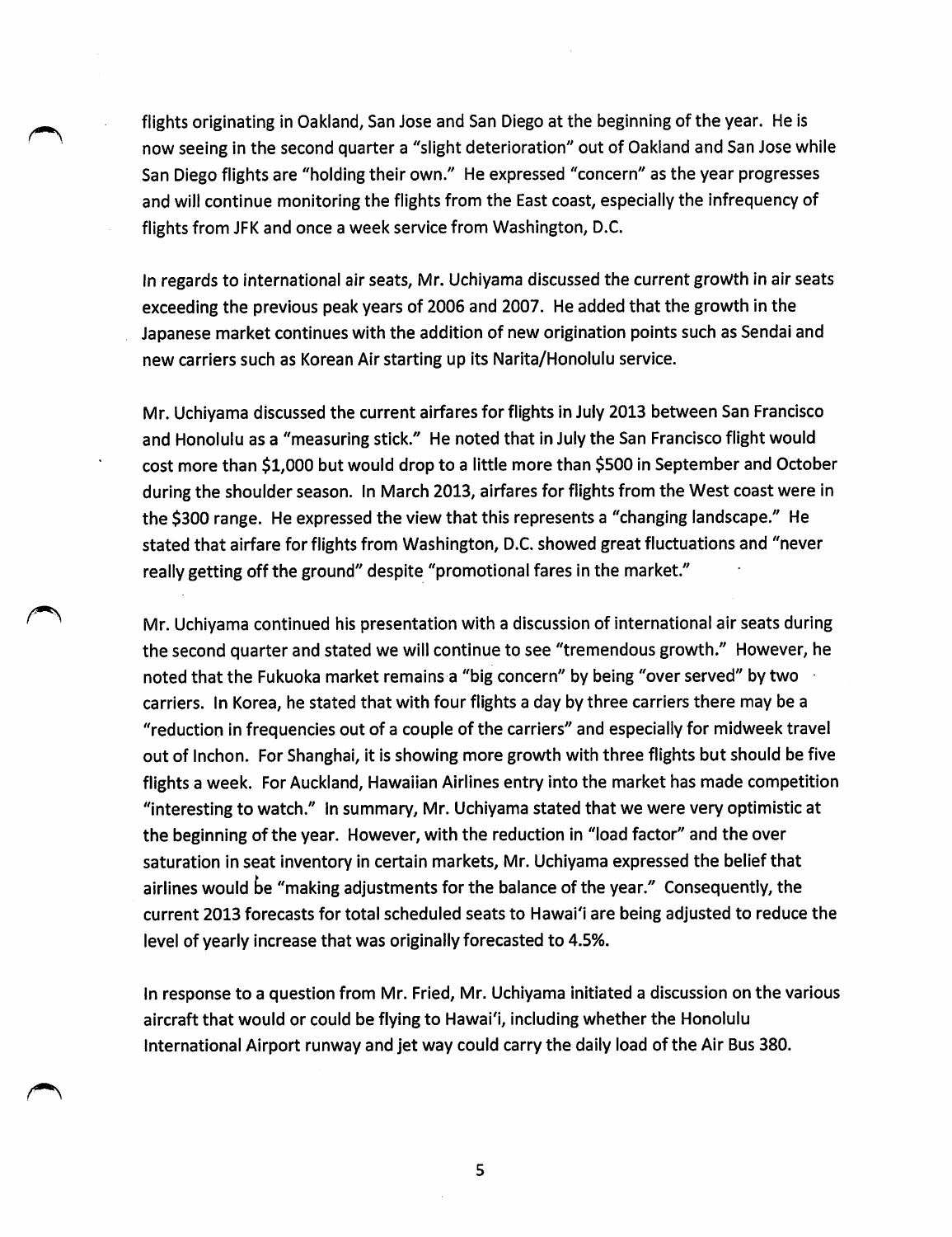flights originating in Oakland, San Jose and San Diego at the beginning of the year. He is now seeing in the second quarter a "slight deterioration" out of Oakland and San Jose while San Diego flights are "holding their own." He expressed "concern" as the year progresses and will continue monitoring the flights from the East coast, especially the infrequency of flights from JFK and once a week service from Washington, D.C.

In regards to international air seats, Mr. Uchiyama discussed the current growth in air seats exceeding the previous peak years of 2006 and 2007. He added that the growth in the Japanese market continues with the addition of new origination points such as Sendai and new carriers such as Korean Air starting up its Narita/Honolulu service.

Mr. Uchiyama discussed the current airfares for flights in July 2013 between San Francisco and Honolulu as a "measuring stick." He noted that in July the San Francisco flight would cost more than \$1,000 but would drop to a little more than \$500 in September and October during the shoulder season. In March 2013, airfares for flights from the West coast were in the \$300 range. He expressed the view that this represents a "changing landscape." He stated that airfare for flights from Washington, D.C. showed great fluctuations and "never really getting off the ground" despite "promotional fares in the market."

Mr. Uchiyama continued his presentation with a discussion of international air seats during the second quarter and stated we will continue to see "tremendous growth." However, he noted that the Fukuoka market remains a "big concern" by being "over served" by two carriers. In Korea, he stated that with four flights a day by three carriers there may be a "reduction in frequencies out of a couple of the carriers" and especially for midweek travel out of Inchon. For Shanghai, it is showing more growth with three flights but should be five flights a week. For Auckland, Hawaiian Airlines entry into the market has made competition "interesting to watch." In summary, Mr. Uchiyama stated that we were very optimistic at the beginning of the year. However, with the reduction in "load factor" and the over saturation in seat inventory in certain markets, Mr. Uchiyama expressed the belief that airlines would be "making adjustments for the balance of the year." Consequently, the current 2013 forecasts for total scheduled seats to Hawai'i are being adjusted to reduce the level of yearly increase that was originally forecasted to 4.5%.

In response to a question from Mr. Fried, Mr. Uchiyama initiated a discussion on the various aircraft that would or could be flying to Hawai'i, including whether the Honolulu International Airport runway and jet way could carry the daily load of the Air Bus 380.

5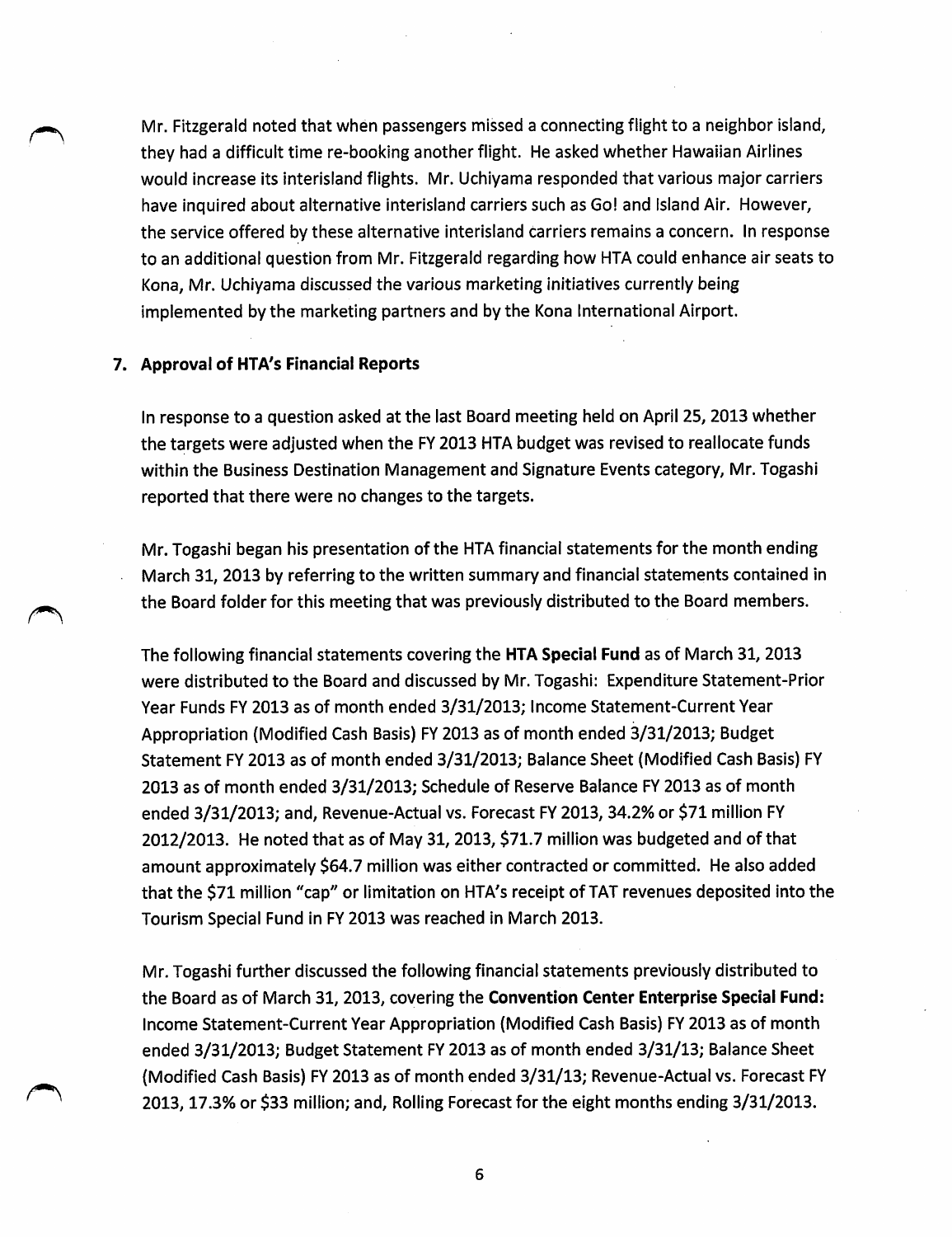Mr. Fitzgerald noted that when passengers missed a connecting flight to a neighbor island, they had a difficult time re-booking another flight. He asked whether Hawaiian Airlines would increase its Interisland flights. Mr. Uchiyama responded that various major carriers have inquired about alternative interisland carriers such as Go! and Island Air. However, the service offered by these alternative interisland carriers remains a concern. In response to an additional question from Mr. Fitzgerald regarding how HTA could enhance air seats to Kona, Mr. Uchiyama discussed the various marketing initiatives currently being implemented by the marketing partners and by the Kona International Airport.

#### 7. Approval of HTA's Financial Reports

In response to a question asked at the last Board meeting held on April 25, 2013 whether the targets were adjusted when the FY 2013 HTA budget was revised to reallocate funds within the Business Destination Management and Signature Events category, Mr. Togashi reported that there were no changes to the targets.

Mr. Togashi began his presentation of the HTA financial statements for the month ending March 31, 2013 by referring to the written summary and financial statements contained in the Board folder for this meeting that was previously distributed to the Board members.

The following financial statements covering the HTA Special Fund as of March 31, 2013 were distributed to the Board and discussed by Mr. Togashi: Expenditure Statement-Prior Year Funds FY 2013 as of month ended 3/31/2013; Income Statement-Current Year Appropriation (Modified Cash Basis) FY 2013 as of month ended 3/31/2013; Budget Statement FY 2013 as of month ended 3/31/2013; Balance Sheet (Modified Cash Basis) FY 2013 as of month ended 3/31/2013; Schedule of Reserve Balance FY 2013 as of month ended 3/31/2013; and, Revenue-Actual vs. Forecast FY 2013, 34.2%or \$71 million FY 2012/2013. He noted that as of May 31, 2013, \$71.7 million was budgeted and of that amount approximately \$64.7 million was either contracted or committed. He also added that the \$71 million "cap" or limitation on HTA's receipt of TAT revenues deposited into the Tourism Special Fund in FY 2013 was reached in March 2013.

Mr. Togashi further discussed the following financial statements previously distributed to the Board as of March 31, 2013, covering the Convention Center Enterprise Special Fund: Income Statement-Current Year Appropriation (Modified Cash Basis) FY 2013 as of month ended 3/31/2013; Budget Statement FY 2013 as of month ended 3/31/13; Balance Sheet (Modified Cash Basis) FY 2013 as of month ended 3/31/13; Revenue-Actual vs. Forecast FY 2013,17.3% or \$33 million; and. Rolling Forecast for the eight months ending 3/31/2013.

6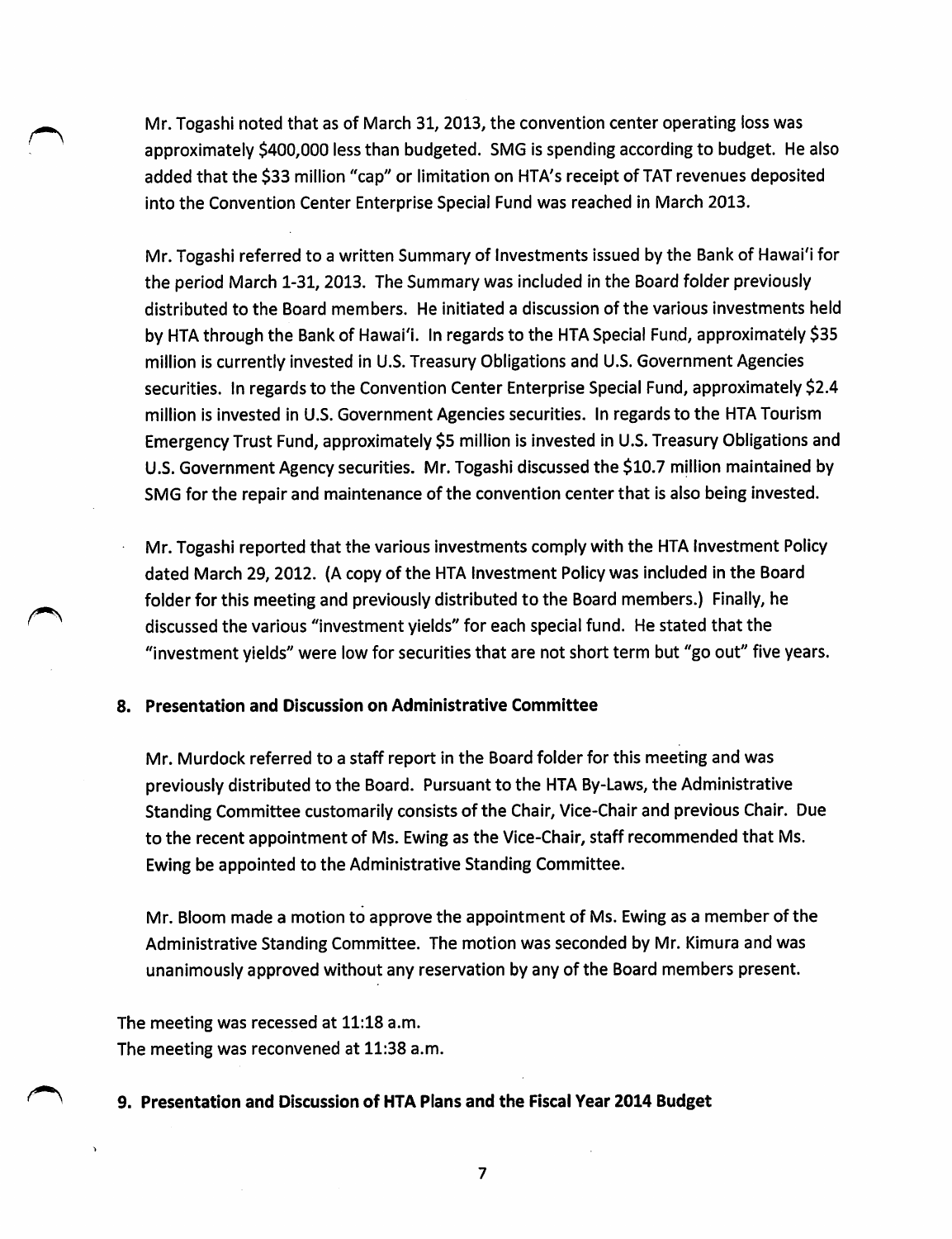Mr. Togashi noted that as of March 31, 2013, the convention center operating loss was approximately \$400,000 less than budgeted. SMG is spending according to budget. He also added that the \$33 million "cap" or limitation on HTA's receipt of TAT revenues deposited into the Convention Center Enterprise Special Fund was reached in March 2013.

Mr. Togashi referred to a written Summary of Investments issued by the Bank of Hawai'i for the period March 1-31, 2013. The Summary was included in the Board folder previously distributed to the Board members. He initiated a discussion of the various investments held by HTA through the Bank of Hawai'i. In regards to the HTA Special Fund, approximately \$35 million is currently invested in U.S. Treasury Obligations and U.S. Government Agencies securities. In regards to the Convention Center Enterprise Special Fund, approximately \$2.4 million is invested in U.S. Government Agencies securities. In regards to the HTA Tourism Emergency Trust Fund, approximately \$5 million is invested in U.S. Treasury Obligations and U.S. Government Agency securities. Mr.Togashi discussed the \$10.7 million maintained by SMG for the repair and maintenance of the convention center that is also being invested.

Mr. Togashi reported that the various investments comply with the HTA Investment Policy dated March 29, 2012. (A copy of the HTA Investment Policy was included in the Board folder for this meeting and previously distributed to the Board members.) Finally, he discussed the various "investment yields" for each special fund. He stated that the "investment yields" were low for securities that are not short term but "go out" five years.

#### 8. Presentation and Discussion on Administrative Committee

Mr. Murdock referred to a staff report in the Board folder for this meeting and was previously distributed to the Board. Pursuant to the HTA By-Laws, the Administrative Standing Committee customarily consists of the Chair, Vice-Chair and previous Chair. Due to the recent appointment of Ms. Ewing as the Vice-Chair, staff recommended that Ms. Ewing be appointed to the Administrative Standing Committee.

Mr. Bloom made a motion to approve the appointment of Ms. Ewing as a member of the Administrative Standing Committee. The motion was seconded by Mr. Kimura and was unanimously approved without any reservation by any of the Board members present.

The meeting was recessed at 11:18 a.m. The meeting was reconvened at 11:38 a.m.

#### 9. Presentation and Discussion of HTA Plans and the Fiscal Year 2014 Budget